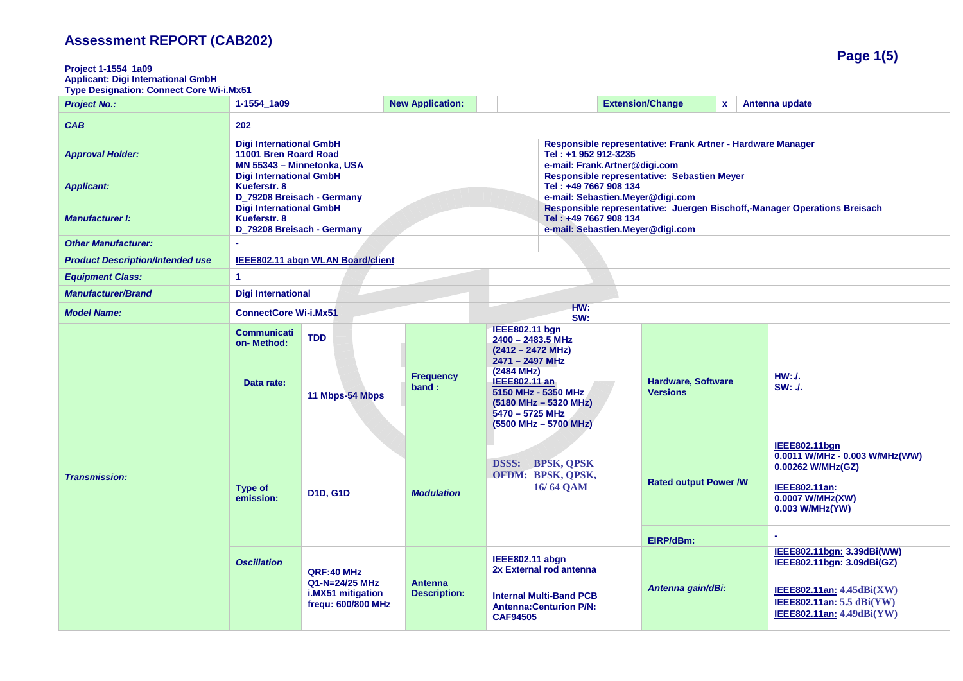| Project 1-1554 1a09<br><b>Applicant: Digi International GmbH</b><br><b>Type Designation: Connect Core Wi-i.Mx51</b> |                                                                                       |                                                                         |                                                                                                                      |                                                                                                                                                                                                                         |                                                                                                                                        |                                              |              |                                                                                                                                                     |
|---------------------------------------------------------------------------------------------------------------------|---------------------------------------------------------------------------------------|-------------------------------------------------------------------------|----------------------------------------------------------------------------------------------------------------------|-------------------------------------------------------------------------------------------------------------------------------------------------------------------------------------------------------------------------|----------------------------------------------------------------------------------------------------------------------------------------|----------------------------------------------|--------------|-----------------------------------------------------------------------------------------------------------------------------------------------------|
| <b>Project No.:</b>                                                                                                 | 1-1554_1a09                                                                           |                                                                         | <b>New Application:</b>                                                                                              |                                                                                                                                                                                                                         |                                                                                                                                        | <b>Extension/Change</b>                      | $\mathbf{x}$ | Antenna update                                                                                                                                      |
| <b>CAB</b>                                                                                                          | 202                                                                                   |                                                                         |                                                                                                                      |                                                                                                                                                                                                                         |                                                                                                                                        |                                              |              |                                                                                                                                                     |
| <b>Approval Holder:</b>                                                                                             | <b>Digi International GmbH</b><br>11001 Bren Roard Road<br>MN 55343 - Minnetonka, USA |                                                                         | Responsible representative: Frank Artner - Hardware Manager<br>Tel: +1 952 912-3235<br>e-mail: Frank.Artner@digi.com |                                                                                                                                                                                                                         |                                                                                                                                        |                                              |              |                                                                                                                                                     |
| <b>Applicant:</b>                                                                                                   | <b>Digi International GmbH</b><br>Kueferstr, 8<br>D_79208 Breisach - Germany          |                                                                         |                                                                                                                      |                                                                                                                                                                                                                         | Responsible representative: Sebastien Meyer<br>Tel: +49 7667 908 134<br>e-mail: Sebastien.Meyer@digi.com                               |                                              |              |                                                                                                                                                     |
| <b>Manufacturer I:</b>                                                                                              | <b>Digi International GmbH</b><br>Kueferstr, 8<br>D 79208 Breisach - Germany          |                                                                         |                                                                                                                      |                                                                                                                                                                                                                         | Responsible representative: Juergen Bischoff,-Manager Operations Breisach<br>Tel: +49 7667 908 134<br>e-mail: Sebastien.Meyer@digi.com |                                              |              |                                                                                                                                                     |
| <b>Other Manufacturer:</b>                                                                                          |                                                                                       |                                                                         |                                                                                                                      |                                                                                                                                                                                                                         |                                                                                                                                        |                                              |              |                                                                                                                                                     |
| <b>Product Description/Intended use</b>                                                                             |                                                                                       | IEEE802.11 abgn WLAN Board/client                                       |                                                                                                                      |                                                                                                                                                                                                                         |                                                                                                                                        |                                              |              |                                                                                                                                                     |
| <b>Equipment Class:</b>                                                                                             | $\blacktriangleleft$                                                                  |                                                                         |                                                                                                                      |                                                                                                                                                                                                                         |                                                                                                                                        |                                              |              |                                                                                                                                                     |
| <b>Manufacturer/Brand</b>                                                                                           | <b>Digi International</b>                                                             |                                                                         |                                                                                                                      |                                                                                                                                                                                                                         |                                                                                                                                        |                                              |              |                                                                                                                                                     |
| <b>Model Name:</b>                                                                                                  | <b>ConnectCore Wi-i.Mx51</b>                                                          |                                                                         |                                                                                                                      |                                                                                                                                                                                                                         | HW:<br>SW:                                                                                                                             |                                              |              |                                                                                                                                                     |
| <b>Transmission:</b>                                                                                                | <b>Communicati</b><br>on-Method:<br>Data rate:                                        | <b>TDD</b><br>11 Mbps-54 Mbps                                           | <b>Frequency</b><br>band:                                                                                            | <b>IEEE802.11 bgn</b><br>2400 - 2483.5 MHz<br>$(2412 - 2472 \text{ MHz})$<br>2471 - 2497 MHz<br>(2484 MHz)<br>IEEE802.11 an<br>5150 MHz - 5350 MHz<br>(5180 MHz - 5320 MHz)<br>5470 - 5725 MHz<br>(5500 MHz - 5700 MHz) |                                                                                                                                        | <b>Hardware, Software</b><br><b>Versions</b> |              | HW:J.<br>SW: J.                                                                                                                                     |
|                                                                                                                     | <b>Type of</b><br>emission:                                                           | <b>D1D, G1D</b>                                                         | <b>Modulation</b>                                                                                                    | <b>DSSS: BPSK, QPSK</b><br>OFDM: BPSK, QPSK,<br>16/64 QAM                                                                                                                                                               |                                                                                                                                        | <b>Rated output Power /W</b>                 |              | <b>IEEE802.11bgn</b><br>0.0011 W/MHz - 0.003 W/MHz(WW)<br>0.00262 W/MHz(GZ)<br>IEEE802.11an:<br>0.0007 W/MHz(XW)<br>0.003 W/MHz(YW)                 |
|                                                                                                                     |                                                                                       |                                                                         |                                                                                                                      |                                                                                                                                                                                                                         |                                                                                                                                        | EIRP/dBm:                                    |              | $\overline{\phantom{a}}$                                                                                                                            |
|                                                                                                                     | <b>Oscillation</b>                                                                    | QRF:40 MHz<br>Q1-N=24/25 MHz<br>i.MX51 mitigation<br>frequ: 600/800 MHz | <b>Antenna</b><br><b>Description:</b>                                                                                | <b>IEEE802.11 abgn</b><br>2x External rod antenna<br><b>Internal Multi-Band PCB</b><br><b>Antenna: Centurion P/N:</b><br><b>CAF94505</b>                                                                                |                                                                                                                                        | Antenna gain/dBi:                            |              | IEEE802.11bgn: 3.39dBi(WW)<br>IEEE802.11bgn: 3.09dBi(GZ)<br>IEEE802.11an: $4.45dBi(XW)$<br>IEEE802.11an: $5.5$ dBi(YW)<br>IEEE802.11an: 4.49dBi(YW) |

**Page 1(5)**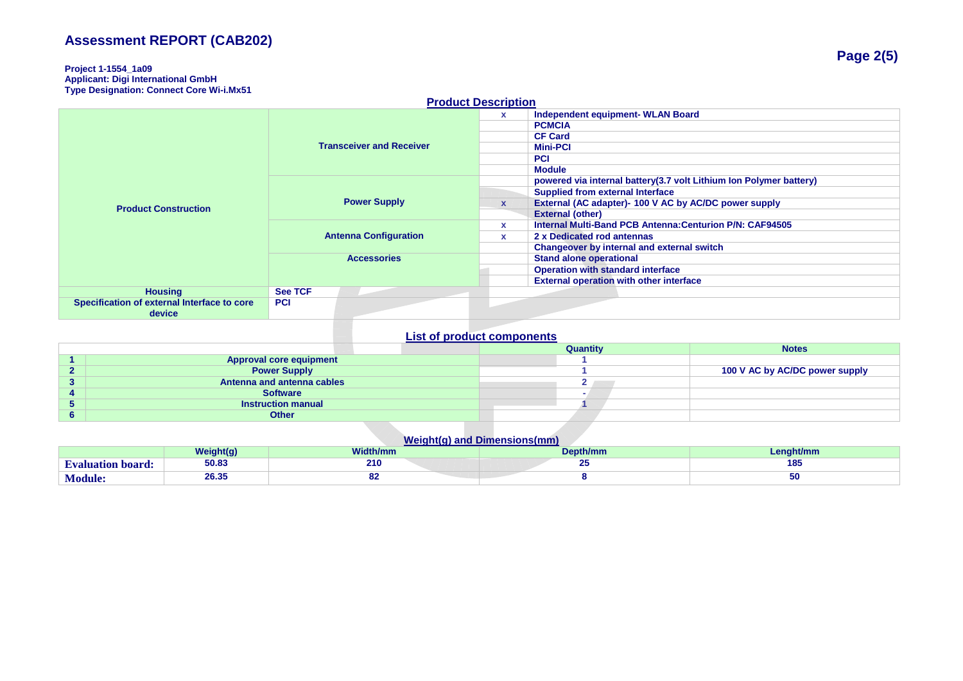### **Project 1-1554\_1a09 Applicant: Digi International GmbH Type Designation: Connect Core Wi-i.Mx51**

| <b>Product Description</b>                  |                                                    |                                 |              |                                                                    |  |  |
|---------------------------------------------|----------------------------------------------------|---------------------------------|--------------|--------------------------------------------------------------------|--|--|
|                                             |                                                    |                                 | x            | Independent equipment- WLAN Board                                  |  |  |
|                                             |                                                    |                                 |              | <b>PCMCIA</b>                                                      |  |  |
|                                             |                                                    |                                 |              | <b>CF Card</b>                                                     |  |  |
|                                             |                                                    | <b>Transceiver and Receiver</b> |              | <b>Mini-PCI</b>                                                    |  |  |
|                                             |                                                    |                                 |              | <b>PCI</b>                                                         |  |  |
|                                             |                                                    |                                 |              | <b>Module</b>                                                      |  |  |
|                                             | <b>Power Supply</b>                                |                                 |              | powered via internal battery(3.7 volt Lithium Ion Polymer battery) |  |  |
|                                             |                                                    |                                 |              | <b>Supplied from external Interface</b>                            |  |  |
| <b>Product Construction</b>                 |                                                    |                                 | $\mathbf{x}$ | External (AC adapter)- 100 V AC by AC/DC power supply              |  |  |
|                                             |                                                    |                                 |              | <b>External (other)</b>                                            |  |  |
|                                             | <b>Antenna Configuration</b><br><b>Accessories</b> |                                 | <b>X</b>     | Internal Multi-Band PCB Antenna: Centurion P/N: CAF94505           |  |  |
|                                             |                                                    |                                 | <b>X</b>     | 2 x Dedicated rod antennas                                         |  |  |
|                                             |                                                    |                                 |              | Changeover by internal and external switch                         |  |  |
|                                             |                                                    |                                 |              | <b>Stand alone operational</b>                                     |  |  |
|                                             |                                                    |                                 |              | <b>Operation with standard interface</b>                           |  |  |
|                                             |                                                    |                                 |              | <b>External operation with other interface</b>                     |  |  |
| <b>Housing</b>                              | <b>See TCF</b>                                     |                                 |              |                                                                    |  |  |
| Specification of external Interface to core | <b>PCI</b>                                         |                                 |              |                                                                    |  |  |
| device                                      |                                                    |                                 |              |                                                                    |  |  |

## **List of product components**

|                                | Quantity | <b>Notes</b>                   |
|--------------------------------|----------|--------------------------------|
| <b>Approval core equipment</b> |          |                                |
| <b>Power Supply</b>            |          | 100 V AC by AC/DC power supply |
| Antenna and antenna cables     |          |                                |
| <b>Software</b>                |          |                                |
| <b>Instruction manual</b>      |          |                                |
| <b>Other</b>                   |          |                                |

## **Weight(g) and Dimensions(mm)**

|                         | $M = 1$<br>` <b>diaht(a)</b> | <b>Width/mm</b> | Depth/mm | ht/mm |
|-------------------------|------------------------------|-----------------|----------|-------|
| <b>valuation board:</b> | 50.83                        | 210             | -        | 185   |
| Module:                 | 0.0.05<br>20.33              | ັ               |          | 50    |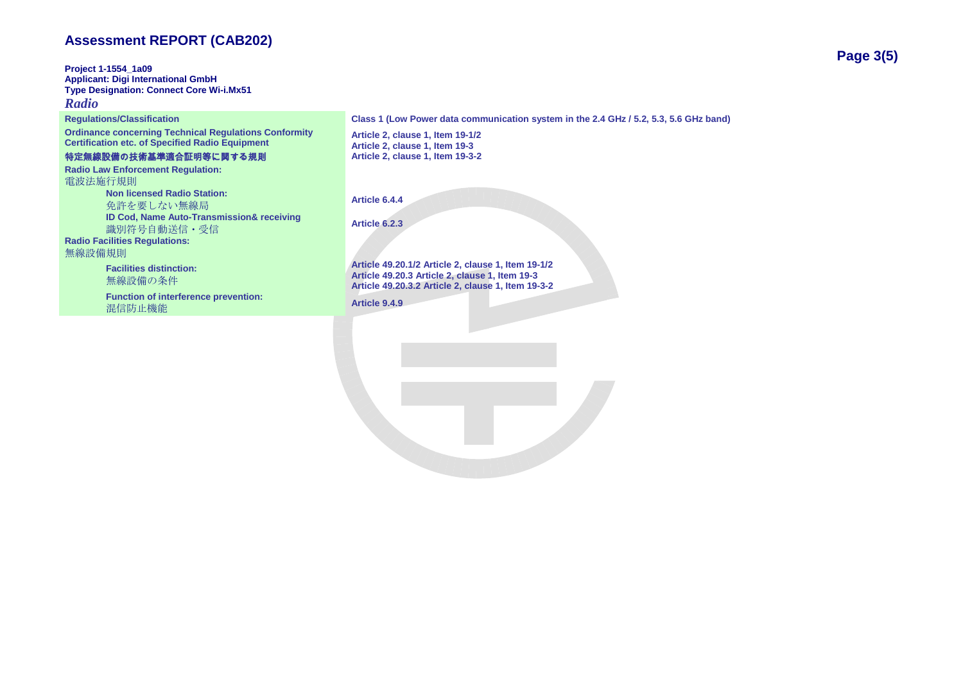**Project 1-1554\_1a09 Applicant: Digi International GmbH Type Designation: Connect Core Wi-i.Mx51** *Radio*

**Ordinance concerning Technical Regulations Conformity Certification etc. of Specified Radio Equipment**

## 特定無線設備の技術基準適合証明等に関する規則

**Radio Law Enforcement Regulation:** 電波法施行規則 **Non licensed Radio Station:** 免許を要しない無線局 **Article 6.4.4 ID Cod, Name Auto-Transmission& receiving** nd sed, Marie Adio-Transmissiond receiving<br>**識別符号自動送信・受信 Radio Facilities Regulations:**

無線設備規則

**Facilities distinction:** 無線設備の条件

**Function of interference prevention:** nation of interference prevention:<br> **Article 9.4.9** 

**Regulations/Classification Class 1 (Low Power data communication system in the 2.4 GHz / 5.2, 5.3, 5.6 GHz band)**

**Article 2, clause 1, Item 19-1/2 Article 2, clause 1, Item 19-3 Article 2, clause 1, Item 19-3-2**

**Article 49.20.1/2 Article 2, clause 1, Item 19-1/2 Article 49.20.3 Article 2, clause 1, Item 19-3 Article 49.20.3.2 Article 2, clause 1, Item 19-3-2**

**Page 3(5)**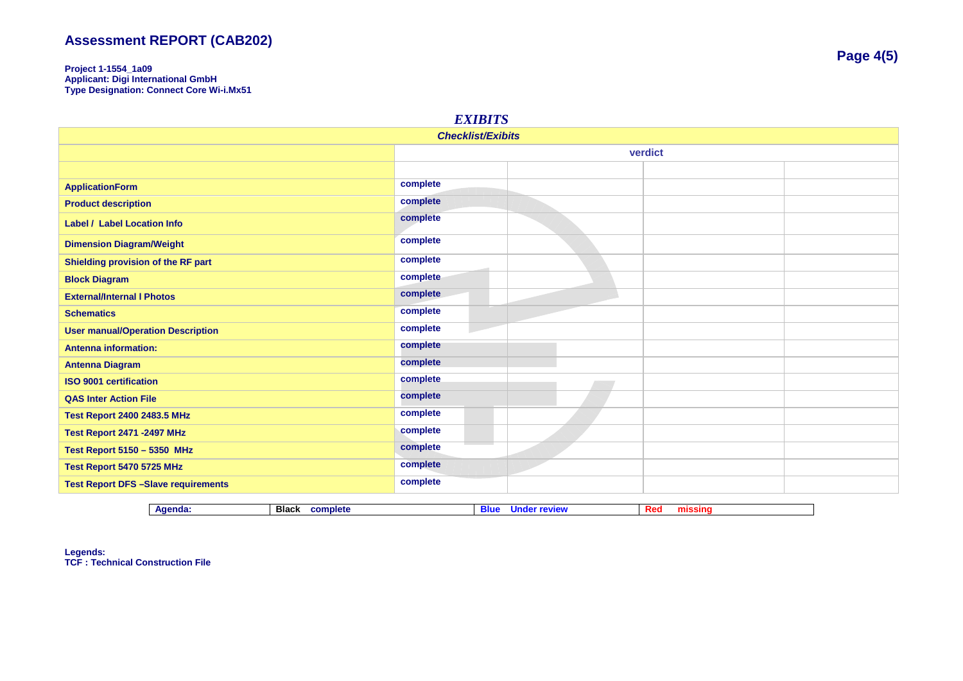**Project 1-1554\_1a09 Applicant: Digi International GmbH Type Designation: Connect Core Wi-i.Mx51**

| <b>EXIBITS</b>                            |          |  |  |  |
|-------------------------------------------|----------|--|--|--|
| <b>Checklist/Exibits</b>                  |          |  |  |  |
|                                           | verdict  |  |  |  |
|                                           |          |  |  |  |
| <b>ApplicationForm</b>                    | complete |  |  |  |
| <b>Product description</b>                | complete |  |  |  |
| <b>Label / Label Location Info</b>        | complete |  |  |  |
| <b>Dimension Diagram/Weight</b>           | complete |  |  |  |
| Shielding provision of the RF part        | complete |  |  |  |
| <b>Block Diagram</b>                      | complete |  |  |  |
| <b>External/Internal I Photos</b>         | complete |  |  |  |
| <b>Schematics</b>                         | complete |  |  |  |
| <b>User manual/Operation Description</b>  | complete |  |  |  |
| <b>Antenna information:</b>               | complete |  |  |  |
| <b>Antenna Diagram</b>                    | complete |  |  |  |
| <b>ISO 9001 certification</b>             | complete |  |  |  |
| <b>QAS Inter Action File</b>              | complete |  |  |  |
| <b>Test Report 2400 2483.5 MHz</b>        | complete |  |  |  |
| <b>Test Report 2471 -2497 MHz</b>         | complete |  |  |  |
| <b>Test Report 5150 - 5350 MHz</b>        | complete |  |  |  |
| Test Report 5470 5725 MHz                 | complete |  |  |  |
| <b>Test Report DFS-Slave requirements</b> | complete |  |  |  |

| Agenda | Black<br>complete | WIE<br>нше<br>$- - -$ | . <b>DA.</b><br>mır<br><b>IN HIS</b> |
|--------|-------------------|-----------------------|--------------------------------------|

**Legends: TCF : Technical Construction File**